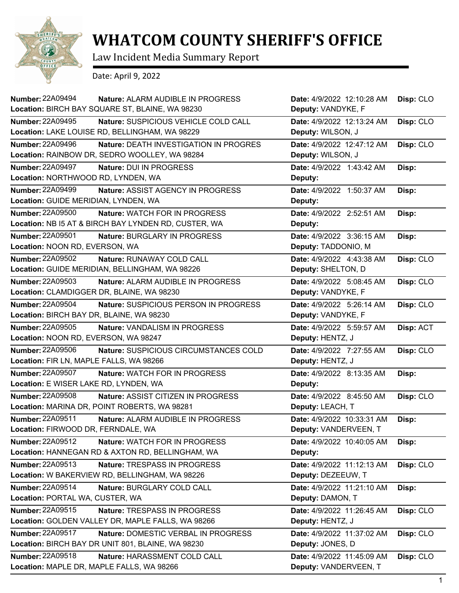

## **WHATCOM COUNTY SHERIFF'S OFFICE**

Law Incident Media Summary Report

Date: April 9, 2022

| <b>Number: 22A09494</b><br><b>Nature: ALARM AUDIBLE IN PROGRESS</b>  | Date: 4/9/2022 12:10:28 AM | Disp: CLO |
|----------------------------------------------------------------------|----------------------------|-----------|
| Location: BIRCH BAY SQUARE ST, BLAINE, WA 98230                      | Deputy: VANDYKE, F         |           |
| <b>Number: 22A09495</b><br>Nature: SUSPICIOUS VEHICLE COLD CALL      | Date: 4/9/2022 12:13:24 AM | Disp: CLO |
| Location: LAKE LOUISE RD, BELLINGHAM, WA 98229                       | Deputy: WILSON, J          |           |
| <b>Number: 22A09496</b><br>Nature: DEATH INVESTIGATION IN PROGRES    | Date: 4/9/2022 12:47:12 AM | Disp: CLO |
| Location: RAINBOW DR, SEDRO WOOLLEY, WA 98284                        | Deputy: WILSON, J          |           |
| <b>Number: 22A09497</b><br>Nature: DUI IN PROGRESS                   | Date: 4/9/2022 1:43:42 AM  | Disp:     |
| Location: NORTHWOOD RD, LYNDEN, WA                                   | Deputy:                    |           |
| <b>Number: 22A09499</b><br>Nature: ASSIST AGENCY IN PROGRESS         | Date: 4/9/2022 1:50:37 AM  | Disp:     |
| Location: GUIDE MERIDIAN, LYNDEN, WA                                 | Deputy:                    |           |
| <b>Number: 22A09500</b><br><b>Nature: WATCH FOR IN PROGRESS</b>      | Date: 4/9/2022 2:52:51 AM  | Disp:     |
| Location: NB I5 AT & BIRCH BAY LYNDEN RD, CUSTER, WA                 | Deputy:                    |           |
| <b>Number: 22A09501</b><br>Nature: BURGLARY IN PROGRESS              | Date: 4/9/2022 3:36:15 AM  | Disp:     |
| Location: NOON RD, EVERSON, WA                                       | Deputy: TADDONIO, M        |           |
| <b>Number: 22A09502</b><br>Nature: RUNAWAY COLD CALL                 | Date: 4/9/2022 4:43:38 AM  | Disp: CLO |
| Location: GUIDE MERIDIAN, BELLINGHAM, WA 98226                       | Deputy: SHELTON, D         |           |
| Number: 22A09503<br>Nature: ALARM AUDIBLE IN PROGRESS                | Date: 4/9/2022 5:08:45 AM  | Disp: CLO |
| Location: CLAMDIGGER DR, BLAINE, WA 98230                            | Deputy: VANDYKE, F         |           |
| <b>Number: 22A09504</b><br>Nature: SUSPICIOUS PERSON IN PROGRESS     | Date: 4/9/2022 5:26:14 AM  | Disp: CLO |
| Location: BIRCH BAY DR, BLAINE, WA 98230                             | Deputy: VANDYKE, F         |           |
| Number: 22A09505<br>Nature: VANDALISM IN PROGRESS                    | Date: 4/9/2022 5:59:57 AM  | Disp: ACT |
| Location: NOON RD, EVERSON, WA 98247                                 | Deputy: HENTZ, J           |           |
| <b>Number: 22A09506</b><br>Nature: SUSPICIOUS CIRCUMSTANCES COLD     | Date: 4/9/2022 7:27:55 AM  | Disp: CLO |
| Location: FIR LN, MAPLE FALLS, WA 98266                              | Deputy: HENTZ, J           |           |
| <b>Number: 22A09507</b><br>Nature: WATCH FOR IN PROGRESS             | Date: 4/9/2022 8:13:35 AM  | Disp:     |
| Location: E WISER LAKE RD, LYNDEN, WA                                | Deputy:                    |           |
| <b>Number: 22A09508</b><br><b>Nature: ASSIST CITIZEN IN PROGRESS</b> | Date: 4/9/2022 8:45:50 AM  | Disp: CLO |
| Location: MARINA DR, POINT ROBERTS, WA 98281                         | Deputy: LEACH, T           |           |
| <b>Number: 22A09511</b><br>Nature: ALARM AUDIBLE IN PROGRESS         | Date: 4/9/2022 10:33:31 AM | Disp:     |
| Location: FIRWOOD DR, FERNDALE, WA                                   | Deputy: VANDERVEEN, T      |           |
| Number: 22A09512<br>Nature: WATCH FOR IN PROGRESS                    | Date: 4/9/2022 10:40:05 AM | Disp:     |
| Location: HANNEGAN RD & AXTON RD, BELLINGHAM, WA                     | Deputy:                    |           |
| Number: 22A09513<br>Nature: TRESPASS IN PROGRESS                     | Date: 4/9/2022 11:12:13 AM | Disp: CLO |
| Location: W BAKERVIEW RD, BELLINGHAM, WA 98226                       | Deputy: DEZEEUW, T         |           |
| Number: 22A09514<br>Nature: BURGLARY COLD CALL                       | Date: 4/9/2022 11:21:10 AM | Disp:     |
| Location: PORTAL WA, CUSTER, WA                                      | Deputy: DAMON, T           |           |
| Number: 22A09515<br>Nature: TRESPASS IN PROGRESS                     | Date: 4/9/2022 11:26:45 AM | Disp: CLO |
| Location: GOLDEN VALLEY DR, MAPLE FALLS, WA 98266                    | Deputy: HENTZ, J           |           |
| Number: 22A09517<br>Nature: DOMESTIC VERBAL IN PROGRESS              | Date: 4/9/2022 11:37:02 AM | Disp: CLO |
| Location: BIRCH BAY DR UNIT 801, BLAINE, WA 98230                    | Deputy: JONES, D           |           |
| <b>Number: 22A09518</b><br>Nature: HARASSMENT COLD CALL              | Date: 4/9/2022 11:45:09 AM | Disp: CLO |
| Location: MAPLE DR, MAPLE FALLS, WA 98266                            | Deputy: VANDERVEEN, T      |           |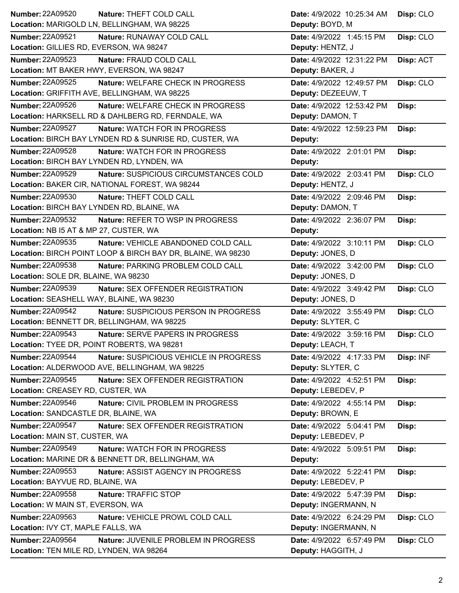| <b>Number: 22A09520</b><br>Nature: THEFT COLD CALL                | Date: 4/9/2022 10:25:34 AM | Disp: CLO |
|-------------------------------------------------------------------|----------------------------|-----------|
| Location: MARIGOLD LN, BELLINGHAM, WA 98225                       | Deputy: BOYD, M            |           |
| <b>Number: 22A09521</b><br>Nature: RUNAWAY COLD CALL              | Date: 4/9/2022 1:45:15 PM  | Disp: CLO |
| Location: GILLIES RD, EVERSON, WA 98247                           | Deputy: HENTZ, J           |           |
| Number: 22A09523<br>Nature: FRAUD COLD CALL                       | Date: 4/9/2022 12:31:22 PM | Disp: ACT |
| Location: MT BAKER HWY, EVERSON, WA 98247                         | Deputy: BAKER, J           |           |
| <b>Number: 22A09525</b><br>Nature: WELFARE CHECK IN PROGRESS      | Date: 4/9/2022 12:49:57 PM | Disp: CLO |
| Location: GRIFFITH AVE, BELLINGHAM, WA 98225                      | Deputy: DEZEEUW, T         |           |
| <b>Number: 22A09526</b><br>Nature: WELFARE CHECK IN PROGRESS      | Date: 4/9/2022 12:53:42 PM | Disp:     |
| Location: HARKSELL RD & DAHLBERG RD, FERNDALE, WA                 | Deputy: DAMON, T           |           |
| <b>Number: 22A09527</b><br>Nature: WATCH FOR IN PROGRESS          | Date: 4/9/2022 12:59:23 PM | Disp:     |
| Location: BIRCH BAY LYNDEN RD & SUNRISE RD, CUSTER, WA            | Deputy:                    |           |
| <b>Number: 22A09528</b><br>Nature: WATCH FOR IN PROGRESS          | Date: 4/9/2022 2:01:01 PM  | Disp:     |
| Location: BIRCH BAY LYNDEN RD, LYNDEN, WA                         | Deputy:                    |           |
| Number: 22A09529<br>Nature: SUSPICIOUS CIRCUMSTANCES COLD         | Date: 4/9/2022 2:03:41 PM  | Disp: CLO |
| Location: BAKER CIR, NATIONAL FOREST, WA 98244                    | Deputy: HENTZ, J           |           |
| <b>Number: 22A09530</b><br>Nature: THEFT COLD CALL                | Date: 4/9/2022 2:09:46 PM  | Disp:     |
| Location: BIRCH BAY LYNDEN RD, BLAINE, WA                         | Deputy: DAMON, T           |           |
| Number: 22A09532<br>Nature: REFER TO WSP IN PROGRESS              | Date: 4/9/2022 2:36:07 PM  | Disp:     |
| Location: NB I5 AT & MP 27, CUSTER, WA                            | Deputy:                    |           |
| Number: 22A09535<br>Nature: VEHICLE ABANDONED COLD CALL           | Date: 4/9/2022 3:10:11 PM  | Disp: CLO |
| Location: BIRCH POINT LOOP & BIRCH BAY DR, BLAINE, WA 98230       | Deputy: JONES, D           |           |
| Number: 22A09538<br>Nature: PARKING PROBLEM COLD CALL             | Date: 4/9/2022 3:42:00 PM  | Disp: CLO |
| Location: SOLE DR, BLAINE, WA 98230                               | Deputy: JONES, D           |           |
|                                                                   |                            |           |
| Number: 22A09539<br>Nature: SEX OFFENDER REGISTRATION             | Date: 4/9/2022 3:49:42 PM  | Disp: CLO |
| Location: SEASHELL WAY, BLAINE, WA 98230                          | Deputy: JONES, D           |           |
| Number: 22A09542<br>Nature: SUSPICIOUS PERSON IN PROGRESS         | Date: 4/9/2022 3:55:49 PM  | Disp: CLO |
| Location: BENNETT DR, BELLINGHAM, WA 98225                        | Deputy: SLYTER, C          |           |
| <b>Number: 22A09543</b><br>Nature: SERVE PAPERS IN PROGRESS       | Date: 4/9/2022 3:59:16 PM  | Disp: CLO |
| Location: TYEE DR, POINT ROBERTS, WA 98281                        | Deputy: LEACH, T           |           |
| <b>Number: 22A09544</b><br>Nature: SUSPICIOUS VEHICLE IN PROGRESS | Date: 4/9/2022 4:17:33 PM  | Disp: INF |
| Location: ALDERWOOD AVE, BELLINGHAM, WA 98225                     | Deputy: SLYTER, C          |           |
| Number: 22A09545<br>Nature: SEX OFFENDER REGISTRATION             | Date: 4/9/2022 4:52:51 PM  | Disp:     |
| Location: CREASEY RD, CUSTER, WA                                  | Deputy: LEBEDEV, P         |           |
| Number: 22A09546<br>Nature: CIVIL PROBLEM IN PROGRESS             | Date: 4/9/2022 4:55:14 PM  | Disp:     |
| Location: SANDCASTLE DR, BLAINE, WA                               | Deputy: BROWN, E           |           |
| <b>Number: 22A09547</b><br>Nature: SEX OFFENDER REGISTRATION      | Date: 4/9/2022 5:04:41 PM  | Disp:     |
| Location: MAIN ST, CUSTER, WA                                     | Deputy: LEBEDEV, P         |           |
| Number: 22A09549<br>Nature: WATCH FOR IN PROGRESS                 | Date: 4/9/2022 5:09:51 PM  | Disp:     |
| Location: MARINE DR & BENNETT DR, BELLINGHAM, WA                  | Deputy:                    |           |
| Number: 22A09553<br>Nature: ASSIST AGENCY IN PROGRESS             | Date: 4/9/2022 5:22:41 PM  | Disp:     |
| Location: BAYVUE RD, BLAINE, WA                                   | Deputy: LEBEDEV, P         |           |
| Number: 22A09558<br>Nature: TRAFFIC STOP                          | Date: 4/9/2022 5:47:39 PM  | Disp:     |
| Location: W MAIN ST, EVERSON, WA                                  | Deputy: INGERMANN, N       |           |
| Number: 22A09563<br>Nature: VEHICLE PROWL COLD CALL               | Date: 4/9/2022 6:24:29 PM  | Disp: CLO |
| Location: IVY CT, MAPLE FALLS, WA                                 | Deputy: INGERMANN, N       |           |
| <b>Number: 22A09564</b><br>Nature: JUVENILE PROBLEM IN PROGRESS   | Date: 4/9/2022 6:57:49 PM  | Disp: CLO |